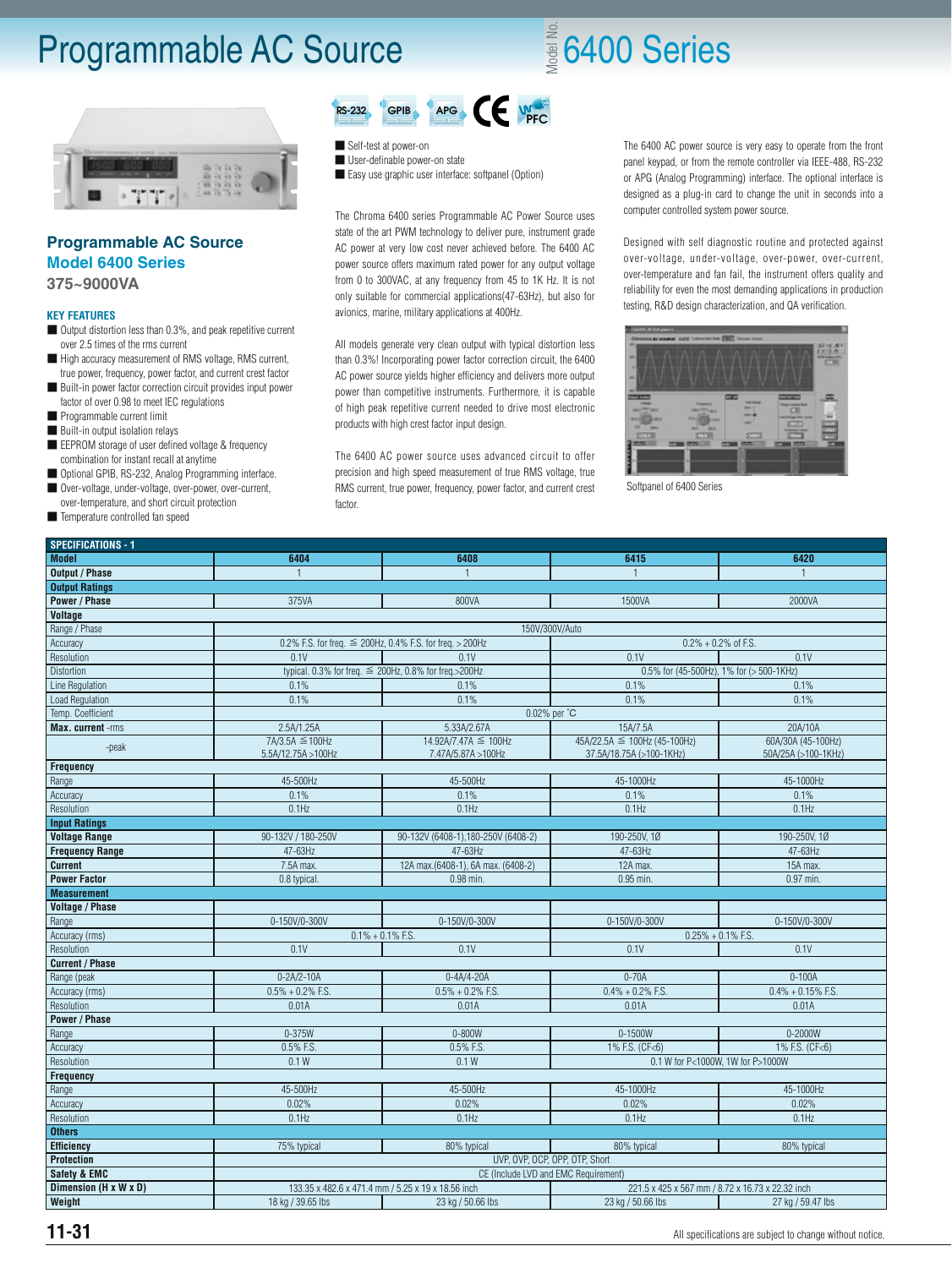### Programmable AC Source

## $\frac{2}{3}$ 6400 Series



#### **Programmable AC Source Model 6400 Series 375~9000VA**

#### **KEY FEATURES**

- Output distortion less than 0.3%, and peak repetitive current over 2.5 times of the rms current
- High accuracy measurement of RMS voltage, RMS current, true power, frequency, power factor, and current crest factor
- Built-in power factor correction circuit provides input power factor of over 0.98 to meet IEC regulations
- Programmable current limit
- Built-in output isolation relays
- EEPROM storage of user defined voltage & frequency combination for instant recall at anytime
- Optional GPIB, RS-232, Analog Programming interface. ■ Over-voltage, under-voltage, over-power, over-current,
- over-temperature, and short circuit protection
- Temperature controlled fan speed

#### $RS-232$  GPIB APG CE WE

■ Self-test at power-on

- User-definable power-on state
- Easy use graphic user interface: softpanel (Option)

The Chroma 6400 series Programmable AC Power Source uses state of the art PWM technology to deliver pure, instrument grade AC power at very low cost never achieved before. The 6400 AC power source offers maximum rated power for any output voltage from 0 to 300VAC, at any frequency from 45 to 1K Hz. It is not only suitable for commercial applications(47-63Hz), but also for avionics, marine, military applications at 400Hz.

All models generate very clean output with typical distortion less than 0.3%! Incorporating power factor correction circuit, the 6400 AC power source yields higher efficiency and delivers more output power than competitive instruments. Furthermore, it is capable of high peak repetitive current needed to drive most electronic products with high crest factor input design.

The 6400 AC power source uses advanced circuit to offer precision and high speed measurement of true RMS voltage, true RMS current, true power, frequency, power factor, and current crest factor.

The 6400 AC power source is very easy to operate from the front panel keypad, or from the remote controller via IEEE-488, RS-232 or APG (Analog Programming) interface. The optional interface is designed as a plug-in card to change the unit in seconds into a computer controlled system power source.

Designed with self diagnostic routine and protected against over-voltage, under-voltage, over-power, over-current, over-temperature and fan fail, the instrument offers quality and reliability for even the most demanding applications in production testing, R&D design characterization, and QA verification.



Softpanel of 6400 Series

| <b>SPECIFICATIONS - 1</b> |                                                               |                                                            |                                                          |                                           |  |  |  |
|---------------------------|---------------------------------------------------------------|------------------------------------------------------------|----------------------------------------------------------|-------------------------------------------|--|--|--|
| <b>Model</b>              | 6404                                                          | 6408                                                       | 6415                                                     | 6420                                      |  |  |  |
| <b>Output / Phase</b>     |                                                               | -1                                                         |                                                          | $\mathbf{1}$                              |  |  |  |
| <b>Output Ratings</b>     |                                                               |                                                            |                                                          |                                           |  |  |  |
| <b>Power / Phase</b>      | 375VA                                                         | 800VA                                                      | 1500VA                                                   | 2000VA                                    |  |  |  |
| <b>Voltage</b>            |                                                               |                                                            |                                                          |                                           |  |  |  |
| Range / Phase             | 150V/300V/Auto                                                |                                                            |                                                          |                                           |  |  |  |
| Accuracy                  | 0.2% F.S. for freq. $\leq$ 200Hz, 0.4% F.S. for freq. > 200Hz |                                                            | $0.2\% + 0.2\%$ of F.S.                                  |                                           |  |  |  |
| Resolution                | 0.1V                                                          | 0.1V                                                       | 0.1V<br>0.1V                                             |                                           |  |  |  |
| Distortion                |                                                               | typical. 0.3% for freq. $\leq$ 200Hz, 0.8% for freq.>200Hz | 0.5% for (45-500Hz), 1% for (> 500-1KHz)                 |                                           |  |  |  |
| Line Regulation           | 0.1%                                                          | 0.1%                                                       | 0.1%                                                     | 0.1%                                      |  |  |  |
| <b>Load Regulation</b>    | 0.1%                                                          | 0.1%                                                       | 0.1%                                                     | 0.1%                                      |  |  |  |
| Temp. Coefficient         | 0.02% per °C                                                  |                                                            |                                                          |                                           |  |  |  |
| Max. current -rms         | 2.5A/1.25A                                                    | 5.33A/2.67A                                                | 15A/7.5A                                                 | 20A/10A                                   |  |  |  |
| -peak                     | 7A/3.5A ≤ 100Hz<br>5.5A/12.75A > 100Hz                        | 14.92A/7.47A ≤ 100Hz<br>7.47A/5.87A > 100Hz                | 45A/22.5A ≤ 100Hz (45-100Hz)<br>37.5A/18.75A (>100-1KHz) | 60A/30A (45-100Hz)<br>50A/25A (>100-1KHz) |  |  |  |
| <b>Frequency</b>          |                                                               |                                                            |                                                          |                                           |  |  |  |
| Range                     | 45-500Hz                                                      | 45-500Hz                                                   | 45-1000Hz                                                | 45-1000Hz                                 |  |  |  |
| Accuracy                  | 0.1%                                                          | 0.1%                                                       | 0.1%                                                     | 0.1%                                      |  |  |  |
| Resolution                | $0.1$ Hz                                                      | $0.1$ Hz                                                   | $0.1$ Hz                                                 | $0.1$ Hz                                  |  |  |  |
| <b>Input Ratings</b>      |                                                               |                                                            |                                                          |                                           |  |  |  |
| <b>Voltage Range</b>      | 90-132V / 180-250V                                            | 90-132V (6408-1), 180-250V (6408-2)                        | 190-250V, 1Ø                                             | 190-250V, 1Ø                              |  |  |  |
| <b>Frequency Range</b>    | 47-63Hz                                                       | 47-63Hz                                                    | 47-63Hz                                                  | 47-63Hz                                   |  |  |  |
| <b>Current</b>            | 7.5A max.                                                     | 12A max.(6408-1), 6A max. (6408-2)                         | 12A max.                                                 | 15A max.                                  |  |  |  |
| <b>Power Factor</b>       | 0.8 typical.                                                  | $0.98$ min.                                                | 0.95 min.                                                | 0.97 min.                                 |  |  |  |
| <b>Measurement</b>        |                                                               |                                                            |                                                          |                                           |  |  |  |
| <b>Voltage / Phase</b>    |                                                               |                                                            |                                                          |                                           |  |  |  |
| Range                     | 0-150V/0-300V                                                 | 0-150V/0-300V                                              | 0-150V/0-300V                                            | 0-150V/0-300V                             |  |  |  |
| Accuracy (rms)            | $0.1\% + 0.1\%$ F.S.                                          |                                                            | $0.25\% + 0.1\%$ F.S.                                    |                                           |  |  |  |
| Resolution                | 0.1V                                                          | 0.1V                                                       | 0.1V                                                     | 0.1V                                      |  |  |  |
| <b>Current / Phase</b>    |                                                               |                                                            |                                                          |                                           |  |  |  |
| Range (peak               | $0 - 2A/2 - 10A$                                              | $0 - 4A/4 - 20A$                                           | $0-70A$                                                  | $0 - 100A$                                |  |  |  |
| Accuracy (rms)            | $0.5\% + 0.2\%$ F.S.                                          | $0.5\% + 0.2\%$ F.S.                                       | $0.4\% + 0.2\%$ F.S.                                     | $0.4\% + 0.15\%$ F.S.                     |  |  |  |
| Resolution                | 0.01A                                                         | 0.01A                                                      | 0.01A                                                    | 0.01A                                     |  |  |  |
| <b>Power / Phase</b>      |                                                               |                                                            |                                                          |                                           |  |  |  |
| Range                     | $0 - 375W$                                                    | $0 - 800W$                                                 | 0-1500W                                                  | 0-2000W                                   |  |  |  |
| Accuracy                  | 0.5% F.S.                                                     | 0.5% F.S.                                                  | 1% F.S. (CF<6)                                           | 1% F.S. (CF<6)                            |  |  |  |
| Resolution                | 0.1 W                                                         | 0.1 W                                                      | 0.1 W for P<1000W, 1W for P>1000W                        |                                           |  |  |  |
| <b>Frequency</b>          |                                                               |                                                            |                                                          |                                           |  |  |  |
| Range                     | 45-500Hz                                                      | 45-500Hz                                                   | 45-1000Hz                                                | 45-1000Hz                                 |  |  |  |
| Accuracy                  | 0.02%                                                         | 0.02%                                                      | 0.02%                                                    | 0.02%                                     |  |  |  |
| Resolution                | 0.1Hz                                                         | 0.1Hz                                                      | 0.1Hz                                                    | 0.1Hz                                     |  |  |  |
| <b>Others</b>             |                                                               |                                                            |                                                          |                                           |  |  |  |
| <b>Efficiency</b>         | 75% typical                                                   | 80% typical                                                | 80% typical                                              | 80% typical                               |  |  |  |
| Protection                | UVP, OVP, OCP, OPP, OTP, Short                                |                                                            |                                                          |                                           |  |  |  |
| <b>Safety &amp; EMC</b>   | CE (Include LVD and EMC Requirement)                          |                                                            |                                                          |                                           |  |  |  |
| Dimension (H x W x D)     |                                                               | 133.35 x 482.6 x 471.4 mm / 5.25 x 19 x 18.56 inch         | 221.5 x 425 x 567 mm / 8.72 x 16.73 x 22.32 inch         |                                           |  |  |  |
| Weight                    | 18 kg / 39.65 lbs                                             | 23 kg / 50.66 lbs                                          | 23 kg / 50.66 lbs                                        | 27 kg / 59.47 lbs                         |  |  |  |